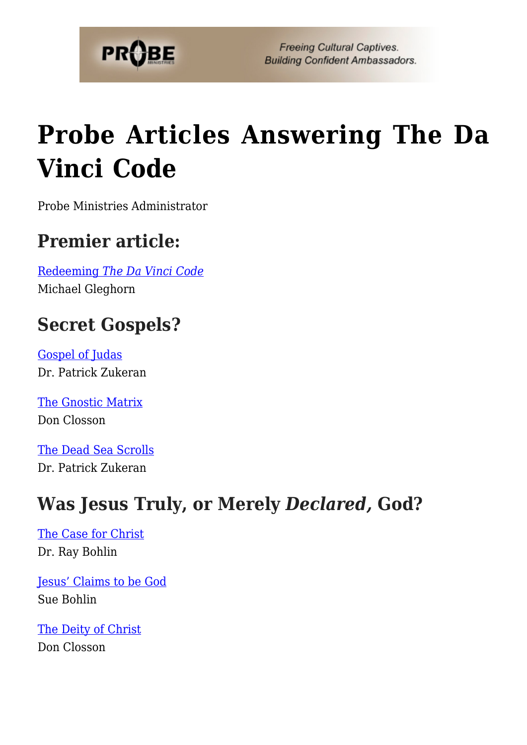

**Freeing Cultural Captives. Building Confident Ambassadors.** 

# **[Probe Articles Answering The Da](https://probe.org/probe-articles-answering-the-da-vinci-code/) [Vinci Code](https://probe.org/probe-articles-answering-the-da-vinci-code/)**

Probe Ministries Administrator

#### **Premier article:**

[Redeeming](https://probe.org/redeeming-the-da-vinci-code/) *[The Da Vinci Code](https://probe.org/redeeming-the-da-vinci-code/)* Michael Gleghorn

## **Secret Gospels?**

[Gospel of Judas](https://probe.org/the-gospel-of-judas-patrick-zukeran/) Dr. Patrick Zukeran

[The Gnostic Matrix](https://probe.org/the-gnostic-matrix/) Don Closson

[The Dead Sea Scrolls](https://probe.org/the-dead-sea-scrolls/) Dr. Patrick Zukeran

## **Was Jesus Truly, or Merely** *Declared,* **God?**

[The Case for Christ](https://probe.org/the-case-for-christ/) Dr. Ray Bohlin

[Jesus' Claims to be God](https://probe.org/jesus-claims-to-be-god/) Sue Bohlin

[The Deity of Christ](https://probe.org/the-deity-of-christ/) Don Closson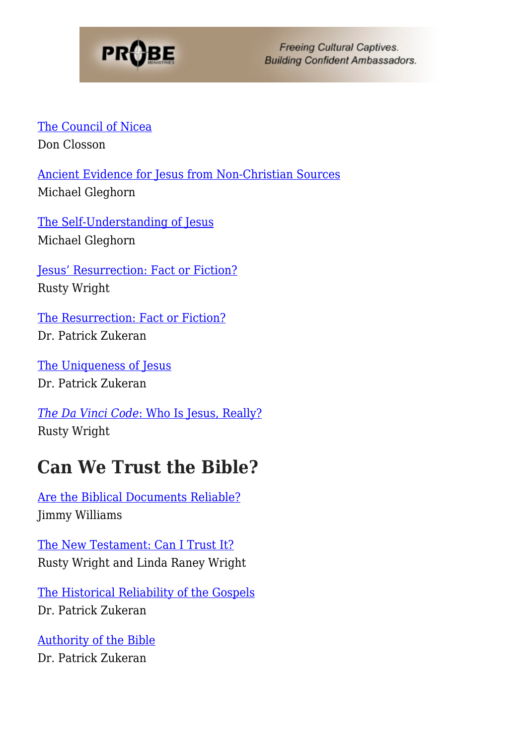

**Freeing Cultural Captives. Building Confident Ambassadors.** 

[The Council of Nicea](https://probe.org/the-council-of-nicea/) Don Closson

[Ancient Evidence for Jesus from Non-Christian Sources](https://probe.org/ancient-evidence-for-jesus-from-non-christian-sources/) Michael Gleghorn

[The Self-Understanding of Jesus](https://probe.org/the-self-understanding-of-jesus/) Michael Gleghorn

[Jesus' Resurrection: Fact or Fiction?](https://probe.org/jesus-resurrection-fact-or-fiction/) Rusty Wright

[The Resurrection: Fact or Fiction?](https://probe.org/the-resurrection-fact-or-fiction/) Dr. Patrick Zukeran

[The Uniqueness of Jesus](https://probe.org/the-uniqueness-of-jesus/) Dr. Patrick Zukeran

*[The Da Vinci Code](https://probe.org/the-da-vinci-code-who-is-jesus-really/)*[: Who Is Jesus, Really?](https://probe.org/the-da-vinci-code-who-is-jesus-really/) Rusty Wright

#### **Can We Trust the Bible?**

[Are the Biblical Documents Reliable?](https://probe.org/are-the-biblical-documents-reliable/) Jimmy Williams

[The New Testament: Can I Trust It?](https://probe.org/the-new-testament-can-i-trust-it/) Rusty Wright and Linda Raney Wright

[The Historical Reliability of the Gospels](https://probe.org/the-historical-reliability-of-the-gospels/) Dr. Patrick Zukeran

[Authority of the Bible](https://probe.org/authority-of-the-bible/) Dr. Patrick Zukeran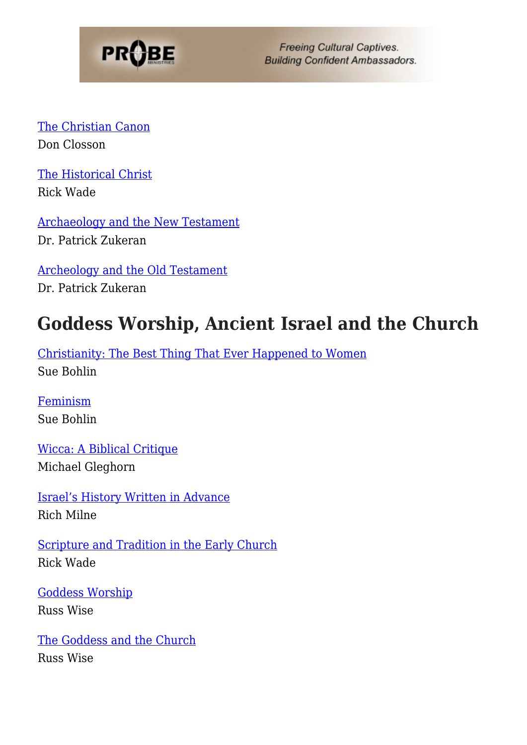

**Freeing Cultural Captives. Building Confident Ambassadors.** 

[The Christian Canon](https://probe.org/the-christian-canon/) Don Closson

[The Historical Christ](https://probe.org/the-historical-christ/) Rick Wade

[Archaeology and the New Testament](https://probe.org/archaeology-and-the-new-testament/) Dr. Patrick Zukeran

[Archeology and the Old Testament](https://probe.org/archaeology-and-the-old-testament/) Dr. Patrick Zukeran

#### **Goddess Worship, Ancient Israel and the Church**

[Christianity: The Best Thing That Ever Happened to Women](https://probe.org/christianity-the-best-thing-that-ever-happened-to-women/) Sue Bohlin

[Feminism](https://probe.org/feminism/) Sue Bohlin

[Wicca: A Biblical Critique](https://probe.org/wicca-a-biblical-critique/) Michael Gleghorn

[Israel's History Written in Advance](https://probe.org/israels-history-written-in-advance/) Rich Milne

[Scripture and Tradition in the Early Church](https://probe.org/scripture-and-tradition-in-the-early-church/) Rick Wade

[Goddess Worship](https://probe.org/goddess-worship/) Russ Wise

[The Goddess and the Church](https://probe.org/the-goddess-and-the-church/) Russ Wise